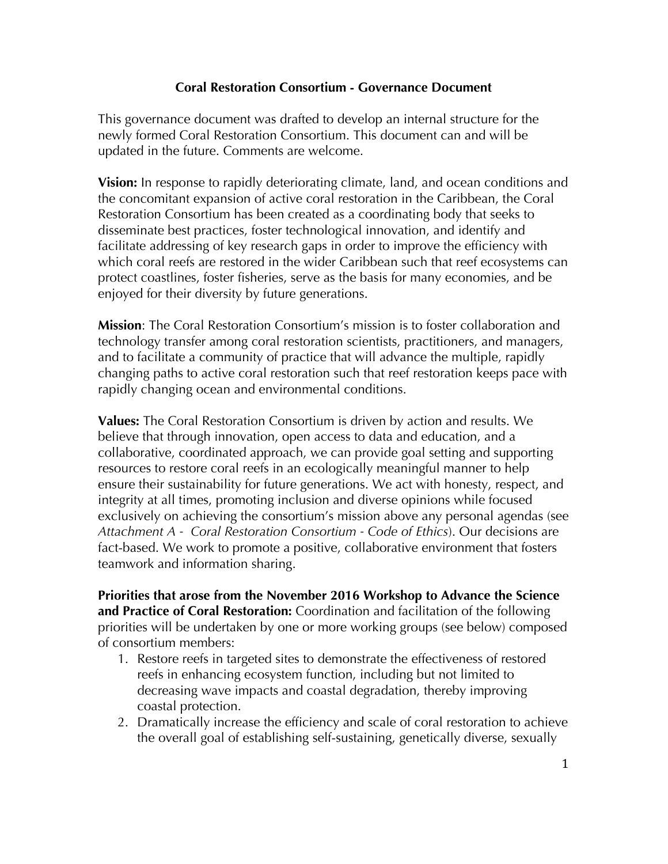#### **Coral Restoration Consortium - Governance Document**

This governance document was drafted to develop an internal structure for the newly formed Coral Restoration Consortium. This document can and will be updated in the future. Comments are welcome.

**Vision:** In response to rapidly deteriorating climate, land, and ocean conditions and the concomitant expansion of active coral restoration in the Caribbean, the Coral Restoration Consortium has been created as a coordinating body that seeks to disseminate best practices, foster technological innovation, and identify and facilitate addressing of key research gaps in order to improve the efficiency with which coral reefs are restored in the wider Caribbean such that reef ecosystems can protect coastlines, foster fisheries, serve as the basis for many economies, and be enjoyed for their diversity by future generations.

**Mission**: The Coral Restoration Consortium's mission is to foster collaboration and technology transfer among coral restoration scientists, practitioners, and managers, and to facilitate a community of practice that will advance the multiple, rapidly changing paths to active coral restoration such that reef restoration keeps pace with rapidly changing ocean and environmental conditions.

**Values:** The Coral Restoration Consortium is driven by action and results. We believe that through innovation, open access to data and education, and a collaborative, coordinated approach, we can provide goal setting and supporting resources to restore coral reefs in an ecologically meaningful manner to help ensure their sustainability for future generations. We act with honesty, respect, and integrity at all times, promoting inclusion and diverse opinions while focused exclusively on achieving the consortium's mission above any personal agendas (see *Attachment A - Coral Restoration Consortium - Code of Ethics*). Our decisions are fact-based. We work to promote a positive, collaborative environment that fosters teamwork and information sharing.

**Priorities that arose from the November 2016 Workshop to Advance the Science and Practice of Coral Restoration:** Coordination and facilitation of the following priorities will be undertaken by one or more working groups (see below) composed of consortium members:

- 1. Restore reefs in targeted sites to demonstrate the effectiveness of restored reefs in enhancing ecosystem function, including but not limited to decreasing wave impacts and coastal degradation, thereby improving coastal protection.
- 2. Dramatically increase the efficiency and scale of coral restoration to achieve the overall goal of establishing self-sustaining, genetically diverse, sexually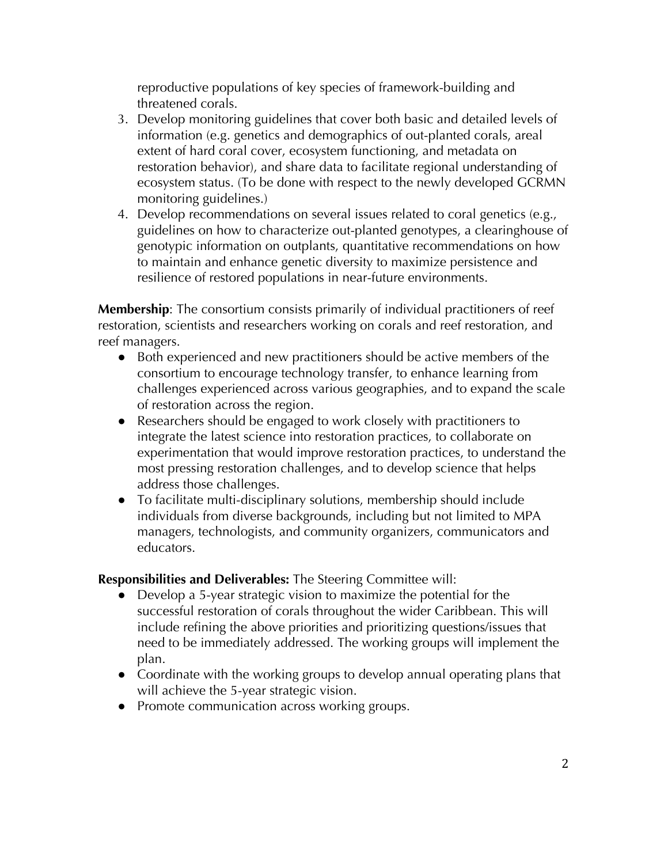reproductive populations of key species of framework-building and threatened corals.

- 3. Develop monitoring guidelines that cover both basic and detailed levels of information (e.g. genetics and demographics of out-planted corals, areal extent of hard coral cover, ecosystem functioning, and metadata on restoration behavior), and share data to facilitate regional understanding of ecosystem status. (To be done with respect to the newly developed GCRMN monitoring guidelines.)
- 4. Develop recommendations on several issues related to coral genetics (e.g., guidelines on how to characterize out-planted genotypes, a clearinghouse of genotypic information on outplants, quantitative recommendations on how to maintain and enhance genetic diversity to maximize persistence and resilience of restored populations in near-future environments.

**Membership**: The consortium consists primarily of individual practitioners of reef restoration, scientists and researchers working on corals and reef restoration, and reef managers.

- Both experienced and new practitioners should be active members of the consortium to encourage technology transfer, to enhance learning from challenges experienced across various geographies, and to expand the scale of restoration across the region.
- Researchers should be engaged to work closely with practitioners to integrate the latest science into restoration practices, to collaborate on experimentation that would improve restoration practices, to understand the most pressing restoration challenges, and to develop science that helps address those challenges.
- To facilitate multi-disciplinary solutions, membership should include individuals from diverse backgrounds, including but not limited to MPA managers, technologists, and community organizers, communicators and educators.

**Responsibilities and Deliverables:** The Steering Committee will:

- Develop a 5-year strategic vision to maximize the potential for the successful restoration of corals throughout the wider Caribbean. This will include refining the above priorities and prioritizing questions/issues that need to be immediately addressed. The working groups will implement the plan.
- Coordinate with the working groups to develop annual operating plans that will achieve the 5-year strategic vision.
- Promote communication across working groups.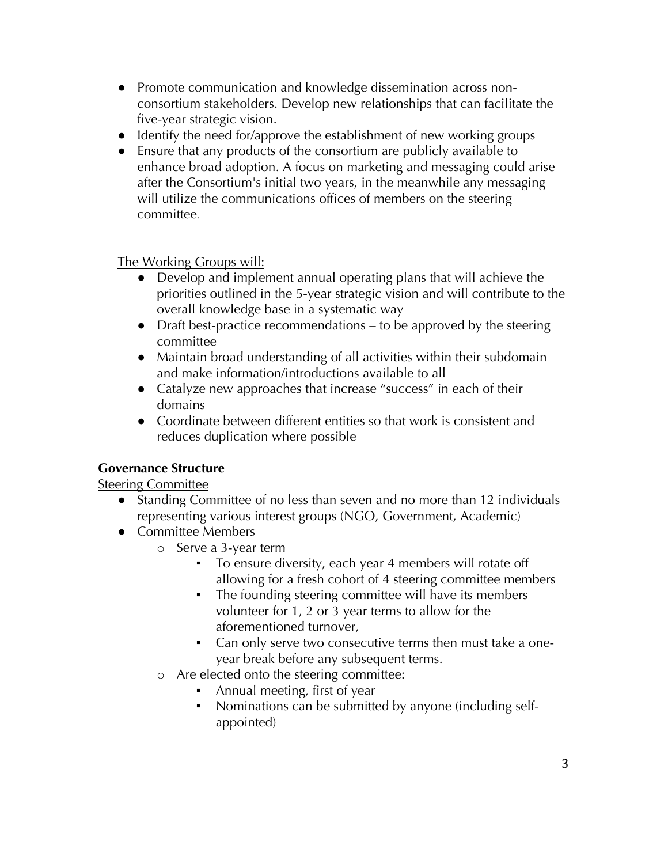- Promote communication and knowledge dissemination across nonconsortium stakeholders. Develop new relationships that can facilitate the five-year strategic vision.
- Identify the need for/approve the establishment of new working groups
- Ensure that any products of the consortium are publicly available to enhance broad adoption. A focus on marketing and messaging could arise after the Consortium's initial two years, in the meanwhile any messaging will utilize the communications offices of members on the steering committee.

The Working Groups will:

- Develop and implement annual operating plans that will achieve the priorities outlined in the 5-year strategic vision and will contribute to the overall knowledge base in a systematic way
- Draft best-practice recommendations to be approved by the steering committee
- Maintain broad understanding of all activities within their subdomain and make information/introductions available to all
- Catalyze new approaches that increase "success" in each of their domains
- Coordinate between different entities so that work is consistent and reduces duplication where possible

# **Governance Structure**

Steering Committee

- Standing Committee of no less than seven and no more than 12 individuals representing various interest groups (NGO, Government, Academic)
- Committee Members
	- o Serve a 3-year term
		- To ensure diversity, each year 4 members will rotate off allowing for a fresh cohort of 4 steering committee members
		- The founding steering committee will have its members volunteer for 1, 2 or 3 year terms to allow for the aforementioned turnover,
		- Can only serve two consecutive terms then must take a oneyear break before any subsequent terms.
	- o Are elected onto the steering committee:
		- Annual meeting, first of year
		- Nominations can be submitted by anyone (including selfappointed)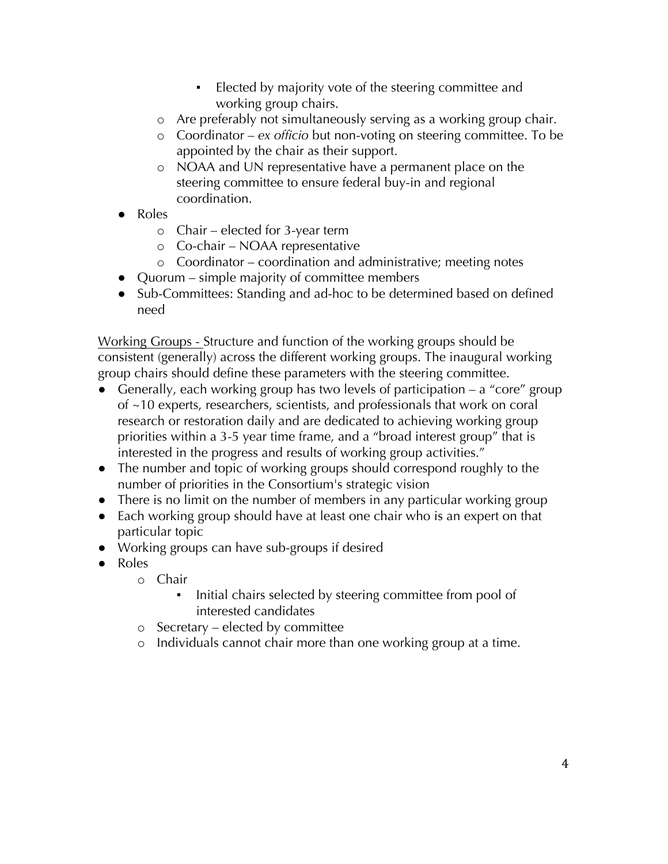- Elected by majority vote of the steering committee and working group chairs.
- o Are preferably not simultaneously serving as a working group chair.
- o Coordinator *ex officio* but non-voting on steering committee. To be appointed by the chair as their support.
- o NOAA and UN representative have a permanent place on the steering committee to ensure federal buy-in and regional coordination.
- Roles
	- o Chair elected for 3-year term
	- o Co-chair NOAA representative
	- o Coordinator coordination and administrative; meeting notes
- Quorum simple majority of committee members
- Sub-Committees: Standing and ad-hoc to be determined based on defined need

Working Groups - Structure and function of the working groups should be consistent (generally) across the different working groups. The inaugural working group chairs should define these parameters with the steering committee.

- Generally, each working group has two levels of participation  $-$  a "core" group of ~10 experts, researchers, scientists, and professionals that work on coral research or restoration daily and are dedicated to achieving working group priorities within a 3-5 year time frame, and a "broad interest group" that is interested in the progress and results of working group activities."
- The number and topic of working groups should correspond roughly to the number of priorities in the Consortium's strategic vision
- There is no limit on the number of members in any particular working group
- Each working group should have at least one chair who is an expert on that particular topic
- Working groups can have sub-groups if desired
- Roles
	- o Chair
		- **•** Initial chairs selected by steering committee from pool of interested candidates
	- o Secretary elected by committee
	- o Individuals cannot chair more than one working group at a time.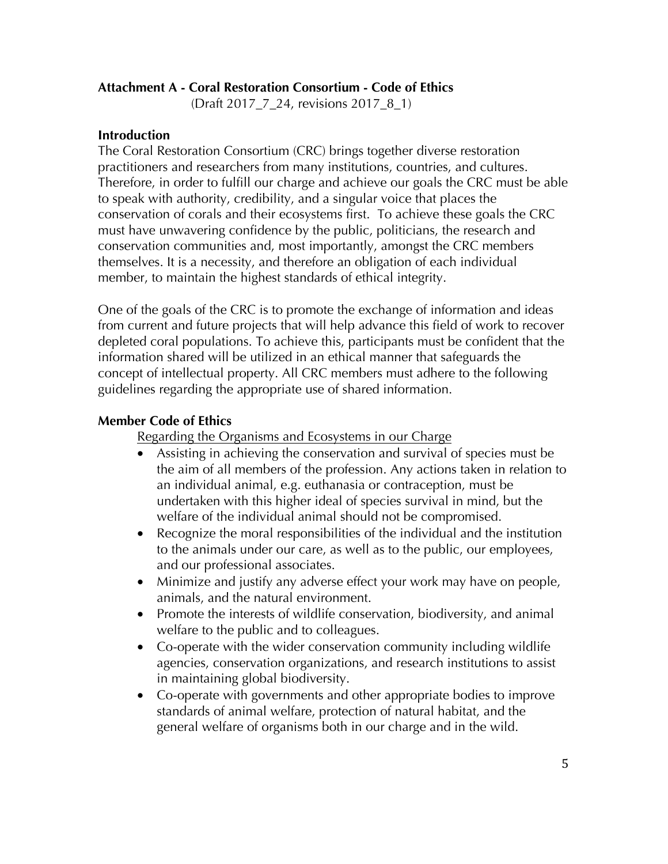### **Attachment A - Coral Restoration Consortium - Code of Ethics**

(Draft 2017\_7\_24, revisions 2017\_8\_1)

#### **Introduction**

The Coral Restoration Consortium (CRC) brings together diverse restoration practitioners and researchers from many institutions, countries, and cultures. Therefore, in order to fulfill our charge and achieve our goals the CRC must be able to speak with authority, credibility, and a singular voice that places the conservation of corals and their ecosystems first. To achieve these goals the CRC must have unwavering confidence by the public, politicians, the research and conservation communities and, most importantly, amongst the CRC members themselves. It is a necessity, and therefore an obligation of each individual member, to maintain the highest standards of ethical integrity.

One of the goals of the CRC is to promote the exchange of information and ideas from current and future projects that will help advance this field of work to recover depleted coral populations. To achieve this, participants must be confident that the information shared will be utilized in an ethical manner that safeguards the concept of intellectual property. All CRC members must adhere to the following guidelines regarding the appropriate use of shared information.

#### **Member Code of Ethics**

Regarding the Organisms and Ecosystems in our Charge

- Assisting in achieving the conservation and survival of species must be the aim of all members of the profession. Any actions taken in relation to an individual animal, e.g. euthanasia or contraception, must be undertaken with this higher ideal of species survival in mind, but the welfare of the individual animal should not be compromised.
- Recognize the moral responsibilities of the individual and the institution to the animals under our care, as well as to the public, our employees, and our professional associates.
- Minimize and justify any adverse effect your work may have on people, animals, and the natural environment.
- Promote the interests of wildlife conservation, biodiversity, and animal welfare to the public and to colleagues.
- Co-operate with the wider conservation community including wildlife agencies, conservation organizations, and research institutions to assist in maintaining global biodiversity.
- Co-operate with governments and other appropriate bodies to improve standards of animal welfare, protection of natural habitat, and the general welfare of organisms both in our charge and in the wild.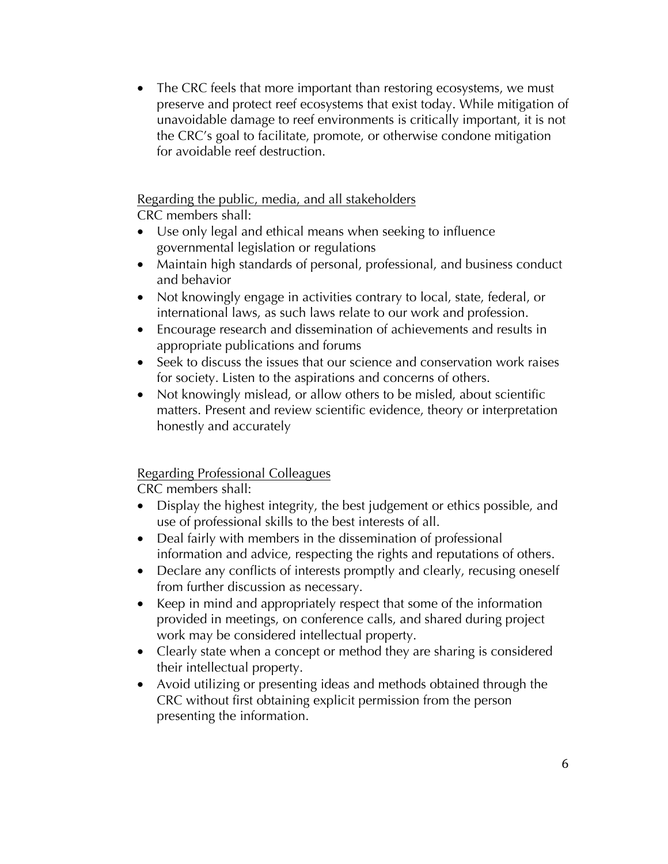• The CRC feels that more important than restoring ecosystems, we must preserve and protect reef ecosystems that exist today. While mitigation of unavoidable damage to reef environments is critically important, it is not the CRC's goal to facilitate, promote, or otherwise condone mitigation for avoidable reef destruction.

### Regarding the public, media, and all stakeholders

CRC members shall:

- Use only legal and ethical means when seeking to influence governmental legislation or regulations
- Maintain high standards of personal, professional, and business conduct and behavior
- Not knowingly engage in activities contrary to local, state, federal, or international laws, as such laws relate to our work and profession.
- Encourage research and dissemination of achievements and results in appropriate publications and forums
- Seek to discuss the issues that our science and conservation work raises for society. Listen to the aspirations and concerns of others.
- Not knowingly mislead, or allow others to be misled, about scientific matters. Present and review scientific evidence, theory or interpretation honestly and accurately

# Regarding Professional Colleagues

CRC members shall:

- Display the highest integrity, the best judgement or ethics possible, and use of professional skills to the best interests of all.
- Deal fairly with members in the dissemination of professional information and advice, respecting the rights and reputations of others.
- Declare any conflicts of interests promptly and clearly, recusing oneself from further discussion as necessary.
- Keep in mind and appropriately respect that some of the information provided in meetings, on conference calls, and shared during project work may be considered intellectual property.
- Clearly state when a concept or method they are sharing is considered their intellectual property.
- Avoid utilizing or presenting ideas and methods obtained through the CRC without first obtaining explicit permission from the person presenting the information.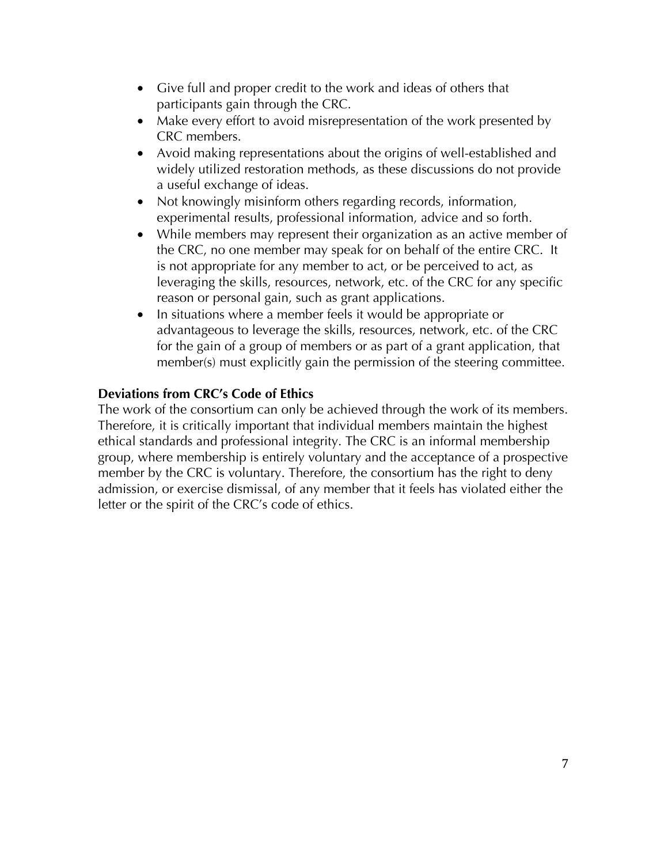- Give full and proper credit to the work and ideas of others that participants gain through the CRC.
- Make every effort to avoid misrepresentation of the work presented by CRC members.
- Avoid making representations about the origins of well-established and widely utilized restoration methods, as these discussions do not provide a useful exchange of ideas.
- Not knowingly misinform others regarding records, information, experimental results, professional information, advice and so forth.
- While members may represent their organization as an active member of the CRC, no one member may speak for on behalf of the entire CRC. It is not appropriate for any member to act, or be perceived to act, as leveraging the skills, resources, network, etc. of the CRC for any specific reason or personal gain, such as grant applications.
- In situations where a member feels it would be appropriate or advantageous to leverage the skills, resources, network, etc. of the CRC for the gain of a group of members or as part of a grant application, that member(s) must explicitly gain the permission of the steering committee.

### **Deviations from CRC's Code of Ethics**

The work of the consortium can only be achieved through the work of its members. Therefore, it is critically important that individual members maintain the highest ethical standards and professional integrity. The CRC is an informal membership group, where membership is entirely voluntary and the acceptance of a prospective member by the CRC is voluntary. Therefore, the consortium has the right to deny admission, or exercise dismissal, of any member that it feels has violated either the letter or the spirit of the CRC's code of ethics.